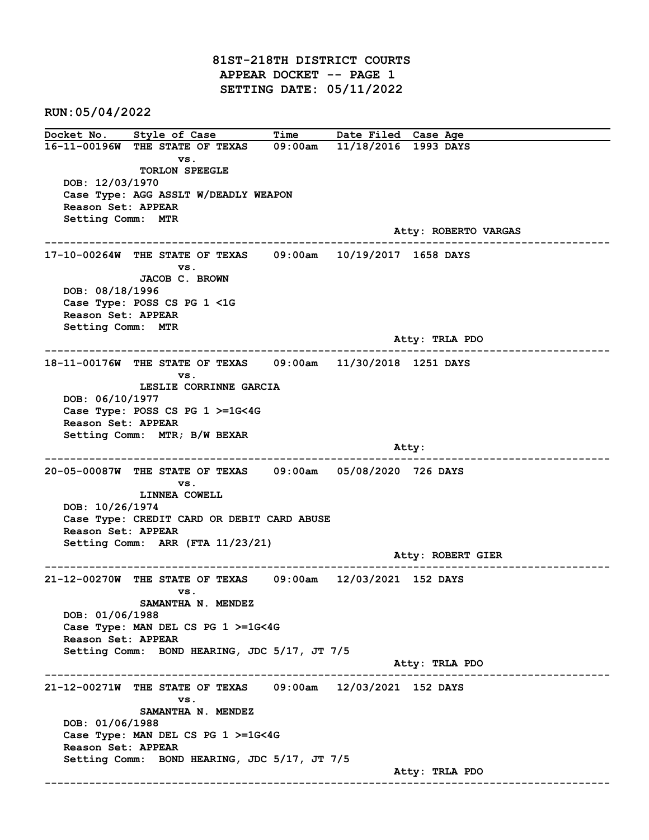81ST-218TH DISTRICT COURTS APPEAR DOCKET -- PAGE 1 SETTING DATE: 05/11/2022

RUN:05/04/2022

Docket No. Style of Case Time Date Filed Case Age 16-11-00196W THE STATE OF TEXAS 09:00am 11/18/2016 1993 DAYS vs. TORLON SPEEGLE DOB: 12/03/1970 Case Type: AGG ASSLT W/DEADLY WEAPON Reason Set: APPEAR Setting Comm: MTR Atty: ROBERTO VARGAS ------------------------------------------------------------------------------------------------------------------------ 17-10-00264W THE STATE OF TEXAS 09:00am 10/19/2017 1658 DAYS vs. JACOB C. BROWN DOB: 08/18/1996 Case Type: POSS CS PG 1 <1G Reason Set: APPEAR Setting Comm: MTR Atty: TRLA PDO ------------------------------------------------------------------------------------------------------------------------ 18-11-00176W THE STATE OF TEXAS 09:00am 11/30/2018 1251 DAYS vs. LESLIE CORRINNE GARCIA DOB: 06/10/1977 Case Type: POSS CS PG 1 >=1G<4G Reason Set: APPEAR Setting Comm: MTR; B/W BEXAR and the control of the control of the control of the control of the control of the control of the control of the control of the control of the control of the control of the control of the control of the control of the cont ------------------------------------------------------------------------------------------------------------------------ 20-05-00087W THE STATE OF TEXAS 09:00am 05/08/2020 726 DAYS vs. LINNEA COWELL DOB: 10/26/1974 Case Type: CREDIT CARD OR DEBIT CARD ABUSE Reason Set: APPEAR Setting Comm: ARR (FTA 11/23/21) Atty: ROBERT GIER ------------------------------------------------------------------------------------------------------------------------ 21-12-00270W THE STATE OF TEXAS 09:00am 12/03/2021 152 DAYS vs. SAMANTHA N. MENDEZ DOB: 01/06/1988 Case Type: MAN DEL CS PG 1 >=1G<4G Reason Set: APPEAR Setting Comm: BOND HEARING, JDC 5/17, JT 7/5 Atty: TRLA PDO ------------------------------------------------------------------------------------------------------------------------ 21-12-00271W THE STATE OF TEXAS 09:00am 12/03/2021 152 DAYS vs. SAMANTHA N. MENDEZ DOB: 01/06/1988 Case Type: MAN DEL CS PG 1 >=1G<4G Reason Set: APPEAR Setting Comm: BOND HEARING, JDC 5/17, JT 7/5 Atty: TRLA PDO ------------------------------------------------------------------------------------------------------------------------